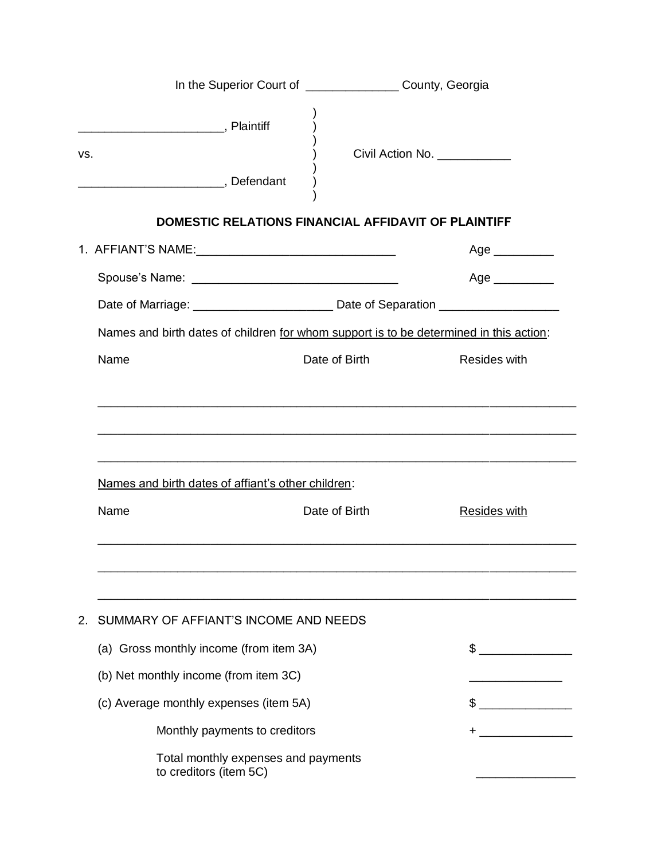|                                                    | In the Superior Court of __________________ County, Georgia |                                                                                                     |
|----------------------------------------------------|-------------------------------------------------------------|-----------------------------------------------------------------------------------------------------|
| VS.                                                |                                                             | Civil Action No. ___________                                                                        |
|                                                    |                                                             | <b>DOMESTIC RELATIONS FINANCIAL AFFIDAVIT OF PLAINTIFF</b>                                          |
|                                                    |                                                             |                                                                                                     |
|                                                    |                                                             |                                                                                                     |
|                                                    |                                                             | Date of Marriage: _________________________________ Date of Separation ____________________________ |
|                                                    |                                                             | Names and birth dates of children for whom support is to be determined in this action:              |
| Name                                               | Date of Birth                                               | <b>Resides with</b>                                                                                 |
| Names and birth dates of affiant's other children: |                                                             |                                                                                                     |
|                                                    |                                                             |                                                                                                     |
| Name                                               | Date of Birth                                               | <b>Resides with</b>                                                                                 |
|                                                    |                                                             |                                                                                                     |
|                                                    |                                                             |                                                                                                     |
| SUMMARY OF AFFIANT'S INCOME AND NEEDS<br>2.        |                                                             |                                                                                                     |
| (a) Gross monthly income (from item 3A)            |                                                             | $\frac{1}{2}$                                                                                       |
| (b) Net monthly income (from item 3C)              |                                                             |                                                                                                     |
| (c) Average monthly expenses (item 5A)             |                                                             | $\frac{1}{2}$                                                                                       |
| Monthly payments to creditors                      |                                                             | +                                                                                                   |
| to creditors (item 5C)                             | Total monthly expenses and payments                         |                                                                                                     |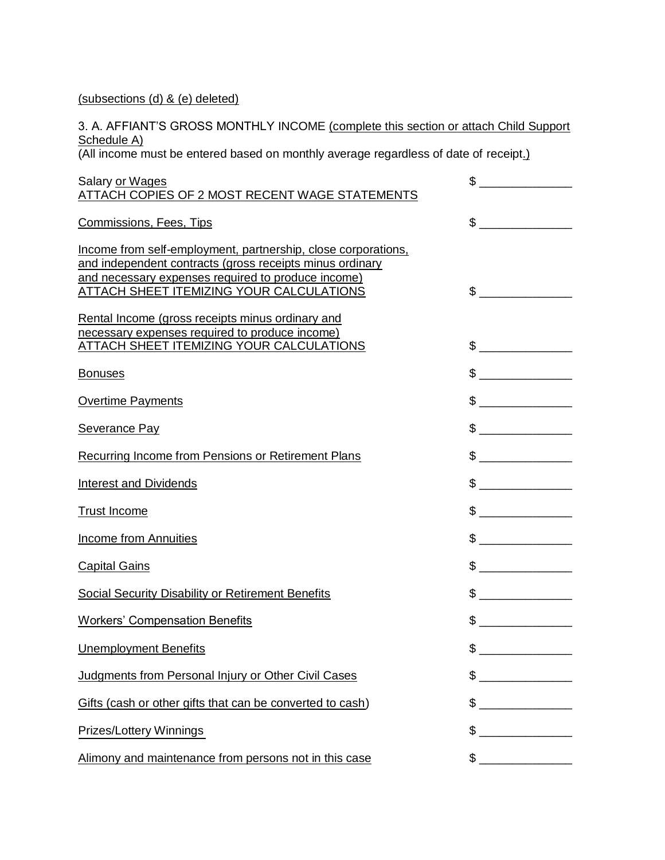(subsections (d) & (e) deleted)

3. A. AFFIANT'S GROSS MONTHLY INCOME (complete this section or attach Child Support Schedule A)

(All income must be entered based on monthly average regardless of date of receipt.)

| Salary or Wages<br>ATTACH COPIES OF 2 MOST RECENT WAGE STATEMENTS                                                                                                                                                           | \$<br>$\overline{\phantom{a}}$ . The contract of $\overline{\phantom{a}}$                                                                                                                                                                                                                                                                                           |
|-----------------------------------------------------------------------------------------------------------------------------------------------------------------------------------------------------------------------------|---------------------------------------------------------------------------------------------------------------------------------------------------------------------------------------------------------------------------------------------------------------------------------------------------------------------------------------------------------------------|
| <b>Commissions, Fees, Tips</b>                                                                                                                                                                                              | $\frac{1}{2}$                                                                                                                                                                                                                                                                                                                                                       |
| Income from self-employment, partnership, close corporations,<br>and independent contracts (gross receipts minus ordinary<br>and necessary expenses required to produce income)<br>ATTACH SHEET ITEMIZING YOUR CALCULATIONS | $\sim$                                                                                                                                                                                                                                                                                                                                                              |
| Rental Income (gross receipts minus ordinary and<br>necessary expenses required to produce income)<br>ATTACH SHEET ITEMIZING YOUR CALCULATIONS                                                                              |                                                                                                                                                                                                                                                                                                                                                                     |
| <b>Bonuses</b>                                                                                                                                                                                                              |                                                                                                                                                                                                                                                                                                                                                                     |
| <b>Overtime Payments</b>                                                                                                                                                                                                    | $\begin{picture}(20,10) \put(0,0){\line(1,0){10}} \put(15,0){\line(1,0){10}} \put(15,0){\line(1,0){10}} \put(15,0){\line(1,0){10}} \put(15,0){\line(1,0){10}} \put(15,0){\line(1,0){10}} \put(15,0){\line(1,0){10}} \put(15,0){\line(1,0){10}} \put(15,0){\line(1,0){10}} \put(15,0){\line(1,0){10}} \put(15,0){\line(1,0){10}} \put(15,0){\line(1$                 |
| <b>Severance Pay</b>                                                                                                                                                                                                        | $\begin{picture}(20,20) \put(0,0){\vector(1,0){100}} \put(15,0){\vector(1,0){100}} \put(15,0){\vector(1,0){100}} \put(15,0){\vector(1,0){100}} \put(15,0){\vector(1,0){100}} \put(15,0){\vector(1,0){100}} \put(15,0){\vector(1,0){100}} \put(15,0){\vector(1,0){100}} \put(15,0){\vector(1,0){100}} \put(15,0){\vector(1,0){100}} \put(15,0){\vector(1,0){100}} \$ |
| Recurring Income from Pensions or Retirement Plans                                                                                                                                                                          | $\begin{picture}(20,20) \put(0,0){\vector(1,0){100}} \put(15,0){\vector(1,0){100}} \put(15,0){\vector(1,0){100}} \put(15,0){\vector(1,0){100}} \put(15,0){\vector(1,0){100}} \put(15,0){\vector(1,0){100}} \put(15,0){\vector(1,0){100}} \put(15,0){\vector(1,0){100}} \put(15,0){\vector(1,0){100}} \put(15,0){\vector(1,0){100}} \put(15,0){\vector(1,0){100}} \$ |
| <b>Interest and Dividends</b>                                                                                                                                                                                               | $\frac{1}{2}$                                                                                                                                                                                                                                                                                                                                                       |
| <b>Trust Income</b>                                                                                                                                                                                                         |                                                                                                                                                                                                                                                                                                                                                                     |
| <b>Income from Annuities</b>                                                                                                                                                                                                | $\qquad \qquad \$$                                                                                                                                                                                                                                                                                                                                                  |
| <b>Capital Gains</b>                                                                                                                                                                                                        | $\begin{picture}(20,20) \put(0,0){\line(1,0){100}} \put(15,0){\line(1,0){100}} \put(15,0){\line(1,0){100}} \put(15,0){\line(1,0){100}} \put(15,0){\line(1,0){100}} \put(15,0){\line(1,0){100}} \put(15,0){\line(1,0){100}} \put(15,0){\line(1,0){100}} \put(15,0){\line(1,0){100}} \put(15,0){\line(1,0){100}} \put(15,0){\line(1,0){100}} \$                       |
| <b>Social Security Disability or Retirement Benefits</b>                                                                                                                                                                    |                                                                                                                                                                                                                                                                                                                                                                     |
| <b>Workers' Compensation Benefits</b>                                                                                                                                                                                       |                                                                                                                                                                                                                                                                                                                                                                     |
| <b>Unemployment Benefits</b>                                                                                                                                                                                                | $\begin{picture}(20,20) \put(0,0){\vector(1,0){100}} \put(15,0){\vector(1,0){100}} \put(15,0){\vector(1,0){100}} \put(15,0){\vector(1,0){100}} \put(15,0){\vector(1,0){100}} \put(15,0){\vector(1,0){100}} \put(15,0){\vector(1,0){100}} \put(15,0){\vector(1,0){100}} \put(15,0){\vector(1,0){100}} \put(15,0){\vector(1,0){100}} \put(15,0){\vector(1,0){100}} \$ |
| Judgments from Personal Injury or Other Civil Cases                                                                                                                                                                         |                                                                                                                                                                                                                                                                                                                                                                     |
| Gifts (cash or other gifts that can be converted to cash)                                                                                                                                                                   | \$                                                                                                                                                                                                                                                                                                                                                                  |
| Prizes/Lottery Winnings                                                                                                                                                                                                     | \$                                                                                                                                                                                                                                                                                                                                                                  |
| Alimony and maintenance from persons not in this case                                                                                                                                                                       | $\begin{picture}(20,20) \put(0,0){\line(1,0){100}} \put(15,0){\line(1,0){100}} \put(15,0){\line(1,0){100}} \put(15,0){\line(1,0){100}} \put(15,0){\line(1,0){100}} \put(15,0){\line(1,0){100}} \put(15,0){\line(1,0){100}} \put(15,0){\line(1,0){100}} \put(15,0){\line(1,0){100}} \put(15,0){\line(1,0){100}} \put(15,0){\line(1,0){100}} \$                       |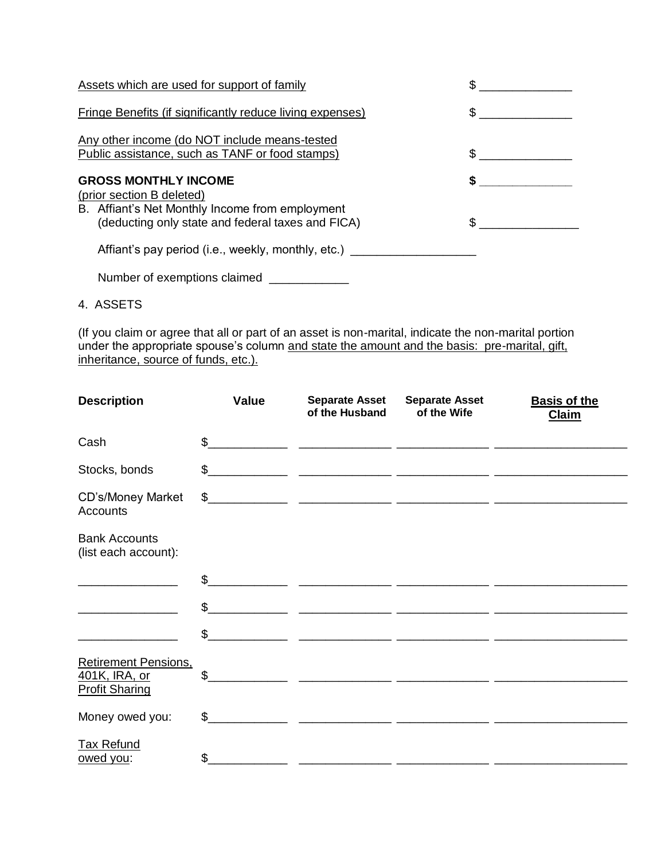| Assets which are used for support of family                                                                                                                      |                     |
|------------------------------------------------------------------------------------------------------------------------------------------------------------------|---------------------|
| <b>Fringe Benefits (if significantly reduce living expenses)</b>                                                                                                 | $\frac{1}{2}$       |
| Any other income (do NOT include means-tested<br>Public assistance, such as TANF or food stamps)                                                                 | $\sim$ $\sim$       |
| <b>GROSS MONTHLY INCOME</b><br>(prior section B deleted)<br>B. Affiant's Net Monthly Income from employment<br>(deducting only state and federal taxes and FICA) | \$<br>$\sim$ $\sim$ |
| Affiant's pay period (i.e., weekly, monthly, etc.)                                                                                                               |                     |
| Number of exemptions claimed                                                                                                                                     |                     |

4. ASSETS

(If you claim or agree that all or part of an asset is non-marital, indicate the non-marital portion under the appropriate spouse's column and state the amount and the basis: pre-marital, gift, inheritance, source of funds, etc.).

| <b>Description</b>                                                    | Value        | <b>Separate Asset</b><br>of the Husband | <b>Separate Asset</b><br>of the Wife | <b>Basis of the</b><br><b>Claim</b> |
|-----------------------------------------------------------------------|--------------|-----------------------------------------|--------------------------------------|-------------------------------------|
| Cash                                                                  |              | $\frac{1}{2}$                           |                                      |                                     |
| Stocks, bonds                                                         |              |                                         |                                      |                                     |
| CD's/Money Market<br><b>Accounts</b>                                  |              |                                         |                                      |                                     |
| <b>Bank Accounts</b><br>(list each account):                          |              |                                         |                                      |                                     |
|                                                                       | $\mathbb{S}$ |                                         |                                      |                                     |
|                                                                       |              | $\frac{1}{2}$                           |                                      |                                     |
|                                                                       | $\mathbb{S}$ |                                         |                                      |                                     |
| <b>Retirement Pensions,</b><br>401K, IRA, or<br><b>Profit Sharing</b> | \$           |                                         |                                      |                                     |
| Money owed you:                                                       |              | $\frac{1}{2}$                           |                                      |                                     |
| <b>Tax Refund</b><br>owed you:                                        | \$           |                                         |                                      |                                     |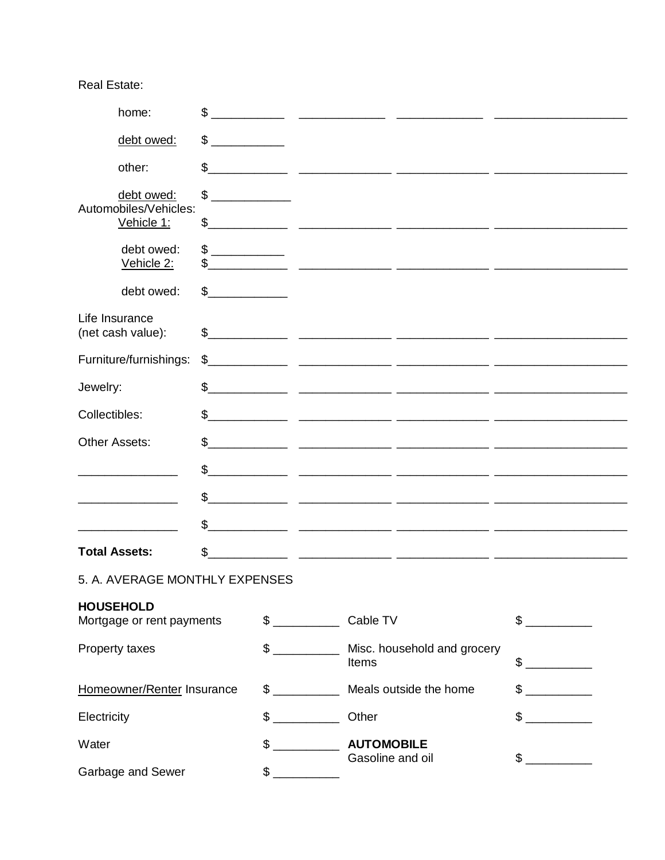**Real Estate:** 

|                                               | home:                               | \$                                                                                                                          |               |                            |                                                                                                                         |               |  |
|-----------------------------------------------|-------------------------------------|-----------------------------------------------------------------------------------------------------------------------------|---------------|----------------------------|-------------------------------------------------------------------------------------------------------------------------|---------------|--|
|                                               | debt owed:                          | \$<br><u> 1999 - Alban Santan Barat III a Santan Barat III a Santan Barat III a Santan Barat III a Santan Barat III a S</u> |               |                            |                                                                                                                         |               |  |
|                                               | other:                              | \$                                                                                                                          |               |                            |                                                                                                                         |               |  |
|                                               | debt owed:                          | \$                                                                                                                          |               |                            |                                                                                                                         |               |  |
|                                               | Automobiles/Vehicles:<br>Vehicle 1: |                                                                                                                             |               |                            |                                                                                                                         |               |  |
|                                               | debt owed:<br>Vehicle 2:            | \$                                                                                                                          |               |                            |                                                                                                                         |               |  |
|                                               | debt owed:                          | $\frac{1}{\sqrt{2}}$                                                                                                        |               |                            |                                                                                                                         |               |  |
|                                               | Life Insurance<br>(net cash value): |                                                                                                                             |               |                            |                                                                                                                         |               |  |
|                                               | Furniture/furnishings:              | \$                                                                                                                          |               |                            |                                                                                                                         |               |  |
| Jewelry:                                      |                                     | \$                                                                                                                          |               |                            | <u> 1999 - Jan James James, maria (f. 1989)</u>                                                                         |               |  |
| Collectibles:                                 |                                     |                                                                                                                             |               |                            | $\frac{1}{2}$                                                                                                           |               |  |
| Other Assets:                                 |                                     | \$                                                                                                                          |               |                            |                                                                                                                         |               |  |
|                                               |                                     | \$<br><u> 1999 - Jan James James, martin amerikan personal (h. 1908).</u>                                                   |               |                            |                                                                                                                         |               |  |
|                                               |                                     | \$                                                                                                                          |               |                            |                                                                                                                         |               |  |
|                                               |                                     | \$                                                                                                                          |               |                            | <u> 1989 - Johann John Stoff, deutscher Stoff und der Stoff und der Stoff und der Stoff und der Stoff und der Stoff</u> |               |  |
|                                               | <b>Total Assets:</b>                | \$                                                                                                                          |               |                            |                                                                                                                         |               |  |
|                                               | 5. A. AVERAGE MONTHLY EXPENSES      |                                                                                                                             |               |                            |                                                                                                                         |               |  |
| <b>HOUSEHOLD</b><br>Mortgage or rent payments |                                     | $\frac{1}{2}$                                                                                                               | Cable TV      |                            | $\frac{1}{2}$                                                                                                           |               |  |
| Property taxes                                |                                     |                                                                                                                             | $\frac{1}{2}$ | Items                      | Misc. household and grocery                                                                                             | $\sim$        |  |
| Homeowner/Renter Insurance                    |                                     |                                                                                                                             | $\sim$        | Meals outside the home     |                                                                                                                         | $\mathbb{S}$  |  |
| Electricity                                   |                                     |                                                                                                                             |               | Other                      |                                                                                                                         | $\frac{1}{2}$ |  |
| Water                                         |                                     |                                                                                                                             | $\frac{1}{2}$ | <b>AUTOMOBILE</b>          |                                                                                                                         |               |  |
| Garbage and Sewer                             |                                     |                                                                                                                             |               | $\sim$<br>Gasoline and oil |                                                                                                                         |               |  |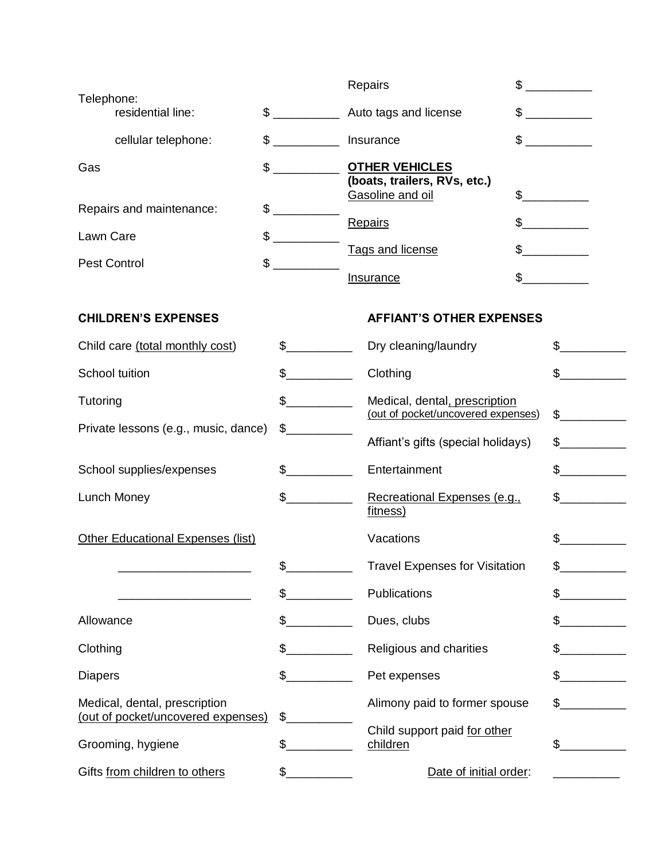|                |                                                                     |                                                                                                                                                                                                                                                                                                                                                                                                                                         | Repairs                                                                   | \$                   |  |
|----------------|---------------------------------------------------------------------|-----------------------------------------------------------------------------------------------------------------------------------------------------------------------------------------------------------------------------------------------------------------------------------------------------------------------------------------------------------------------------------------------------------------------------------------|---------------------------------------------------------------------------|----------------------|--|
|                | Telephone:<br>residential line:                                     | $\begin{picture}(20,20) \put(0,0){\line(1,0){10}} \put(15,0){\line(1,0){10}} \put(15,0){\line(1,0){10}} \put(15,0){\line(1,0){10}} \put(15,0){\line(1,0){10}} \put(15,0){\line(1,0){10}} \put(15,0){\line(1,0){10}} \put(15,0){\line(1,0){10}} \put(15,0){\line(1,0){10}} \put(15,0){\line(1,0){10}} \put(15,0){\line(1,0){10}} \put(15,0){\line(1$                                                                                     | Auto tags and license                                                     | $\frac{1}{2}$        |  |
|                | cellular telephone:                                                 | $\sim$                                                                                                                                                                                                                                                                                                                                                                                                                                  | Insurance                                                                 | $\frac{1}{2}$        |  |
| Gas            |                                                                     | $\frac{1}{2}$                                                                                                                                                                                                                                                                                                                                                                                                                           | <b>OTHER VEHICLES</b><br>(boats, trailers, RVs, etc.)<br>Gasoline and oil | $\sim$               |  |
|                | Repairs and maintenance:                                            | \$                                                                                                                                                                                                                                                                                                                                                                                                                                      | Repairs                                                                   | $\frac{1}{\sqrt{2}}$ |  |
| Lawn Care      |                                                                     | $\mathfrak{S}$<br>$\frac{1}{1-\frac{1}{1-\frac{1}{1-\frac{1}{1-\frac{1}{1-\frac{1}{1-\frac{1}{1-\frac{1}{1-\frac{1}{1-\frac{1}{1-\frac{1}{1-\frac{1}{1-\frac{1}{1-\frac{1}{1-\frac{1}{1-\frac{1}{1-\frac{1}{1-\frac{1}{1-\frac{1}{1-\frac{1}{1-\frac{1}{1-\frac{1}{1-\frac{1}{1-\frac{1}{1-\frac{1}{1-\frac{1}{1-\frac{1}{1-\frac{1}{1-\frac{1}{1-\frac{1}{1-\frac{1}{1-\frac{1}{1-\frac{1}{1-\frac{1}{1-\frac{1}{1-\frac{1}{1-\frac{1$ |                                                                           |                      |  |
|                | \$<br><b>Pest Control</b>                                           |                                                                                                                                                                                                                                                                                                                                                                                                                                         | Tags and license                                                          | $\frac{1}{2}$        |  |
|                |                                                                     |                                                                                                                                                                                                                                                                                                                                                                                                                                         | Insurance                                                                 | \$                   |  |
|                | <b>CHILDREN'S EXPENSES</b>                                          |                                                                                                                                                                                                                                                                                                                                                                                                                                         | <b>AFFIANT'S OTHER EXPENSES</b>                                           |                      |  |
|                | Child care (total monthly cost)                                     | $\sim$                                                                                                                                                                                                                                                                                                                                                                                                                                  | Dry cleaning/laundry                                                      | $\mathbb S$          |  |
|                | School tuition                                                      | $\frac{1}{2}$                                                                                                                                                                                                                                                                                                                                                                                                                           | Clothing                                                                  | $\mathbb S$          |  |
| Tutoring       |                                                                     | $\frac{1}{2}$                                                                                                                                                                                                                                                                                                                                                                                                                           | Medical, dental, prescription<br>(out of pocket/uncovered expenses)       | $\frac{1}{2}$        |  |
|                | Private lessons (e.g., music, dance)                                | $\frac{1}{2}$                                                                                                                                                                                                                                                                                                                                                                                                                           | Affiant's gifts (special holidays)                                        | $\sim$               |  |
|                | School supplies/expenses                                            | $\sim$                                                                                                                                                                                                                                                                                                                                                                                                                                  | Entertainment                                                             | $\frac{1}{\sqrt{2}}$ |  |
|                | Lunch Money                                                         | $\frac{1}{2}$                                                                                                                                                                                                                                                                                                                                                                                                                           | Recreational Expenses (e.g.,<br>fitness)                                  | $\frac{1}{2}$        |  |
|                | <b>Other Educational Expenses (list)</b>                            |                                                                                                                                                                                                                                                                                                                                                                                                                                         | Vacations                                                                 |                      |  |
|                |                                                                     |                                                                                                                                                                                                                                                                                                                                                                                                                                         | <b>Travel Expenses for Visitation</b>                                     |                      |  |
|                |                                                                     | $\mathsf S$                                                                                                                                                                                                                                                                                                                                                                                                                             | Publications                                                              | \$                   |  |
| Allowance      |                                                                     | $\frac{1}{2}$                                                                                                                                                                                                                                                                                                                                                                                                                           | Dues, clubs                                                               | $$_-$                |  |
| Clothing       |                                                                     | $\mathfrak s$                                                                                                                                                                                                                                                                                                                                                                                                                           | Religious and charities                                                   | \$                   |  |
| <b>Diapers</b> |                                                                     | $\sim$                                                                                                                                                                                                                                                                                                                                                                                                                                  | Pet expenses                                                              |                      |  |
|                | Medical, dental, prescription<br>(out of pocket/uncovered expenses) | \$                                                                                                                                                                                                                                                                                                                                                                                                                                      | Alimony paid to former spouse                                             | $\mathbb S$          |  |
|                | Grooming, hygiene                                                   | \$                                                                                                                                                                                                                                                                                                                                                                                                                                      | Child support paid for other<br>children                                  | \$                   |  |
|                | Gifts from children to others                                       | $\mathfrak{S}_-$                                                                                                                                                                                                                                                                                                                                                                                                                        | Date of initial order:                                                    |                      |  |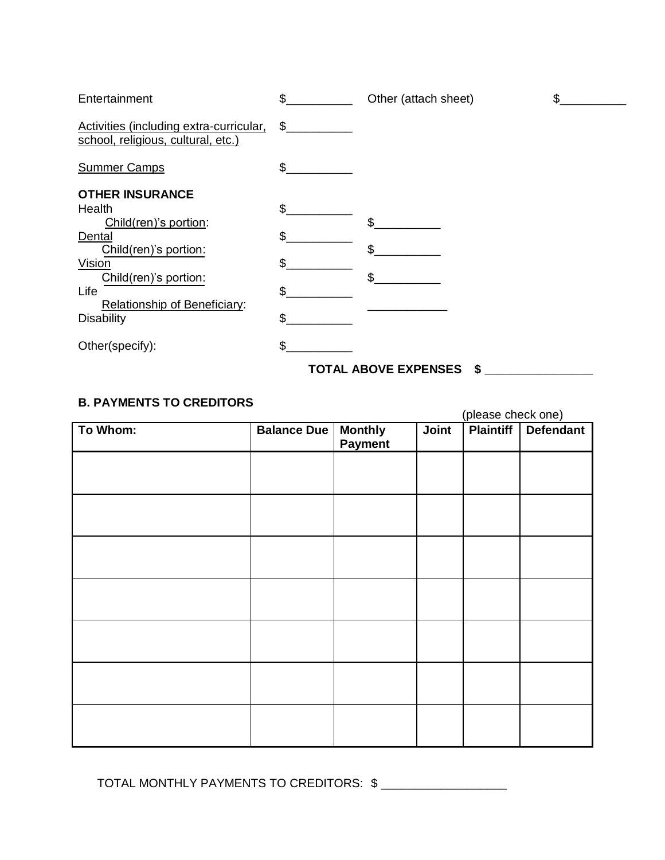| Entertainment                                                                 | \$  | Other (attach sheet)             | \$ |
|-------------------------------------------------------------------------------|-----|----------------------------------|----|
| Activities (including extra-curricular,<br>school, religious, cultural, etc.) | \$  |                                  |    |
| <b>Summer Camps</b>                                                           | \$  |                                  |    |
| <b>OTHER INSURANCE</b>                                                        |     |                                  |    |
| Health                                                                        | \$  |                                  |    |
| Child(ren)'s portion:                                                         |     | \$                               |    |
| Dental                                                                        | \$  |                                  |    |
| Child(ren)'s portion:                                                         |     | \$                               |    |
| Vision                                                                        | \$. |                                  |    |
| Child(ren)'s portion:                                                         |     |                                  |    |
| Life                                                                          | \$  |                                  |    |
| Relationship of Beneficiary:                                                  |     |                                  |    |
| <b>Disability</b>                                                             | \$  |                                  |    |
| Other(specify):                                                               | \$. |                                  |    |
|                                                                               |     | <b>TOTAL ABOVE EXPENSES</b><br>S |    |

## **B. PAYMENTS TO CREDITORS**

(please check one) To Whom: **Balance Due | Monthly Payment Joint Plaintiff Defendant** 

TOTAL MONTHLY PAYMENTS TO CREDITORS:  $\frac{1}{2}$  \_\_\_\_\_\_\_\_\_\_\_\_\_\_\_\_\_\_\_\_\_\_\_\_\_\_\_\_\_\_\_\_\_